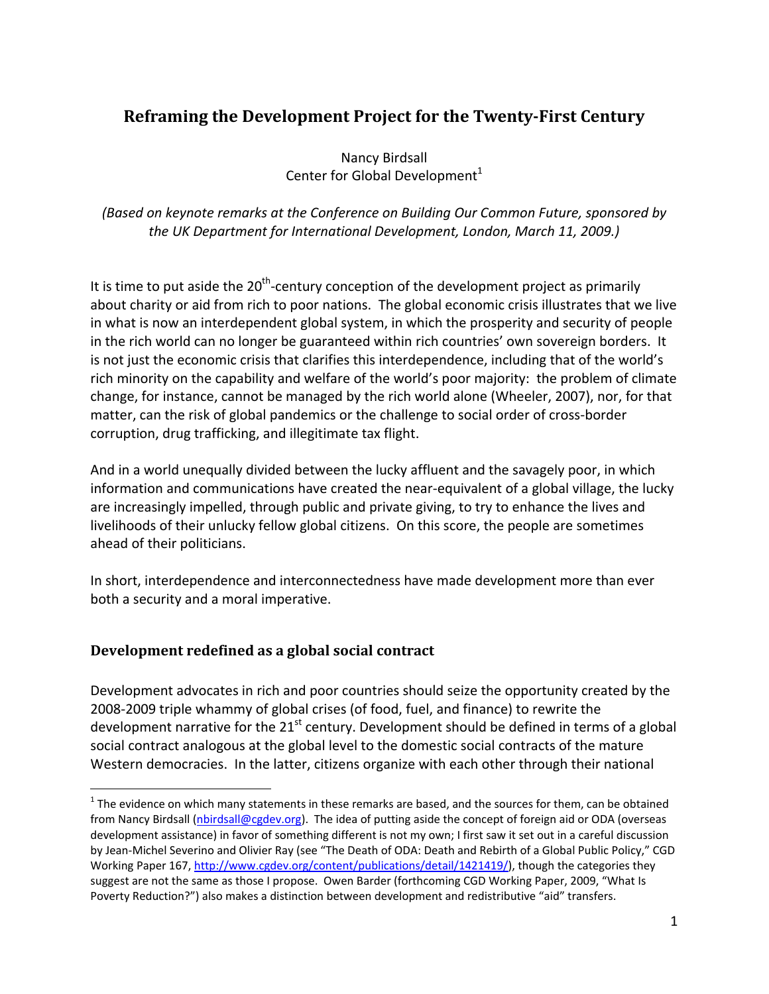# **Reframing the Development Project for the TwentyFirst Century**

Nancy Birdsall Center for Global Development $<sup>1</sup>$ </sup>

*(Based on keynote remarks at the Conference on Building Our Common Future, sponsored by the UK Department for International Development, London, March 11, 2009.)*

It is time to put aside the  $20<sup>th</sup>$ -century conception of the development project as primarily about charity or aid from rich to poor nations. The global economic crisis illustrates that we live in what is now an interdependent global system, in which the prosperity and security of people in the rich world can no longer be guaranteed within rich countries' own sovereign borders. It is not just the economic crisis that clarifies this interdependence, including that of the world's rich minority on the capability and welfare of the world's poor majority: the problem of climate change, for instance, cannot be managed by the rich world alone (Wheeler, 2007), nor, for that matter, can the risk of global pandemics or the challenge to social order of cross‐border corruption, drug trafficking, and illegitimate tax flight.

And in a world unequally divided between the lucky affluent and the savagely poor, in which information and communications have created the near‐equivalent of a global village, the lucky are increasingly impelled, through public and private giving, to try to enhance the lives and livelihoods of their unlucky fellow global citizens. On this score, the people are sometimes ahead of their politicians.

In short, interdependence and interconnectedness have made development more than ever both a security and a moral imperative.

## **Development redefined as a global social contract**

Development advocates in rich and poor countries should seize the opportunity created by the 2008‐2009 triple whammy of global crises (of food, fuel, and finance) to rewrite the development narrative for the  $21^{st}$  century. Development should be defined in terms of a global social contract analogous at the global level to the domestic social contracts of the mature Western democracies. In the latter, citizens organize with each other through their national

 $1$  The evidence on which many statements in these remarks are based, and the sources for them, can be obtained from Nancy Birdsall ([nbirdsall@cgdev.org](mailto:nbirdsall@cgdev.org)). The idea of putting aside the concept of foreign aid or ODA (overseas development assistance) in favor of something different is not my own; I first saw it set out in a careful discussion by Jean‐Michel Severino and Olivier Ray (see "The Death of ODA: Death and Rebirth of a Global Public Policy," CGD Working Paper 167, [http://www.cgdev.org/content/publications/detail/1421419/\),](http://www.cgdev.org/content/publications/detail/1421419) though the categories they suggest are not the same as those I propose. Owen Barder (forthcoming CGD Working Paper, 2009, "What Is Poverty Reduction?") also makes a distinction between development and redistributive "aid" transfers.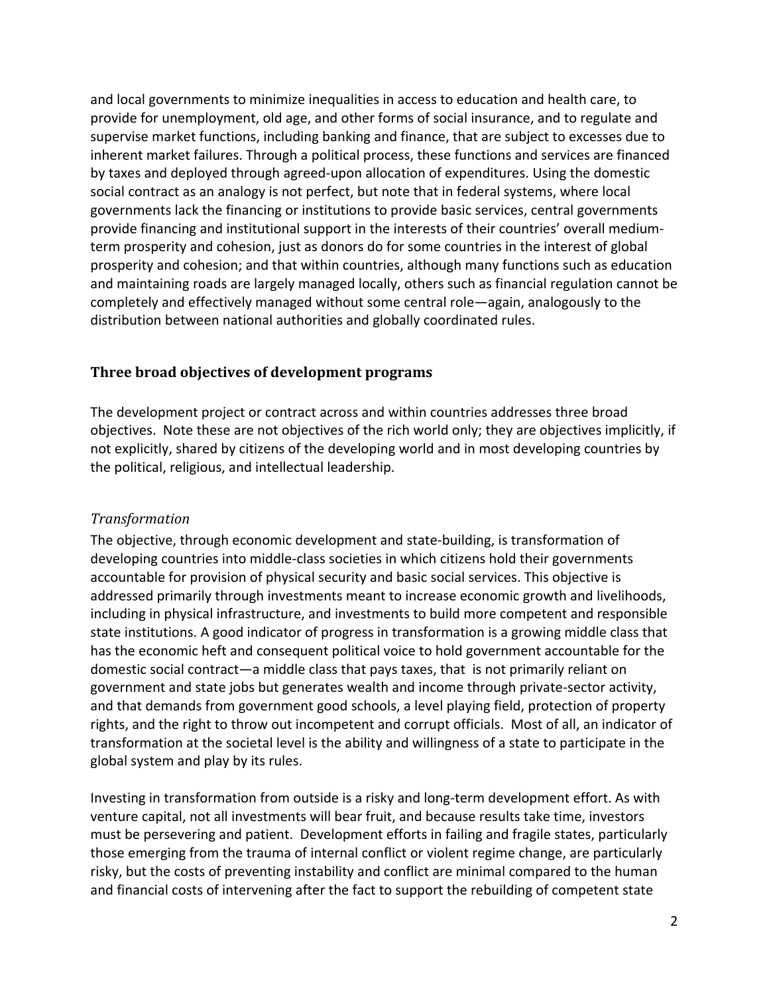and local governments to minimize inequalities in access to education and health care, to provide for unemployment, old age, and other forms of social insurance, and to regulate and supervise market functions, including banking and finance, that are subject to excesses due to inherent market failures. Through a political process, these functions and services are financed by taxes and deployed through agreed‐upon allocation of expenditures. Using the domestic social contract as an analogy is not perfect, but note that in federal systems, where local governments lack the financing or institutions to provide basic services, central governments provide financing and institutional support in the interests of their countries' overall medium‐ term prosperity and cohesion, just as donors do for some countries in the interest of global prosperity and cohesion; and that within countries, although many functions such as education and maintaining roads are largely managed locally, others such as financial regulation cannot be completely and effectively managed without some central role—again, analogously to the distribution between national authorities and globally coordinated rules.

## **Three broad objectives of development programs**

The development project or contract across and within countries addresses three broad objectives. Note these are not objectives of the rich world only; they are objectives implicitly, if not explicitly, shared by citizens of the developing world and in most developing countries by the political, religious, and intellectual leadership.

#### *Transformation*

The objective, through economic development and state‐building, is transformation of developing countries into middle‐class societies in which citizens hold their governments accountable for provision of physical security and basic social services. This objective is addressed primarily through investments meant to increase economic growth and livelihoods, including in physical infrastructure, and investments to build more competent and responsible state institutions. A good indicator of progress in transformation is a growing middle class that has the economic heft and consequent political voice to hold government accountable for the domestic social contract—a middle class that pays taxes, that is not primarily reliant on government and state jobs but generates wealth and income through private‐sector activity, and that demands from government good schools, a level playing field, protection of property rights, and the right to throw out incompetent and corrupt officials. Most of all, an indicator of transformation at the societal level is the ability and willingness of a state to participate in the global system and play by its rules.

Investing in transformation from outside is a risky and long‐term development effort. As with venture capital, not all investments will bear fruit, and because results take time, investors must be persevering and patient. Development efforts in failing and fragile states, particularly those emerging from the trauma of internal conflict or violent regime change, are particularly risky, but the costs of preventing instability and conflict are minimal compared to the human and financial costs of intervening after the fact to support the rebuilding of competent state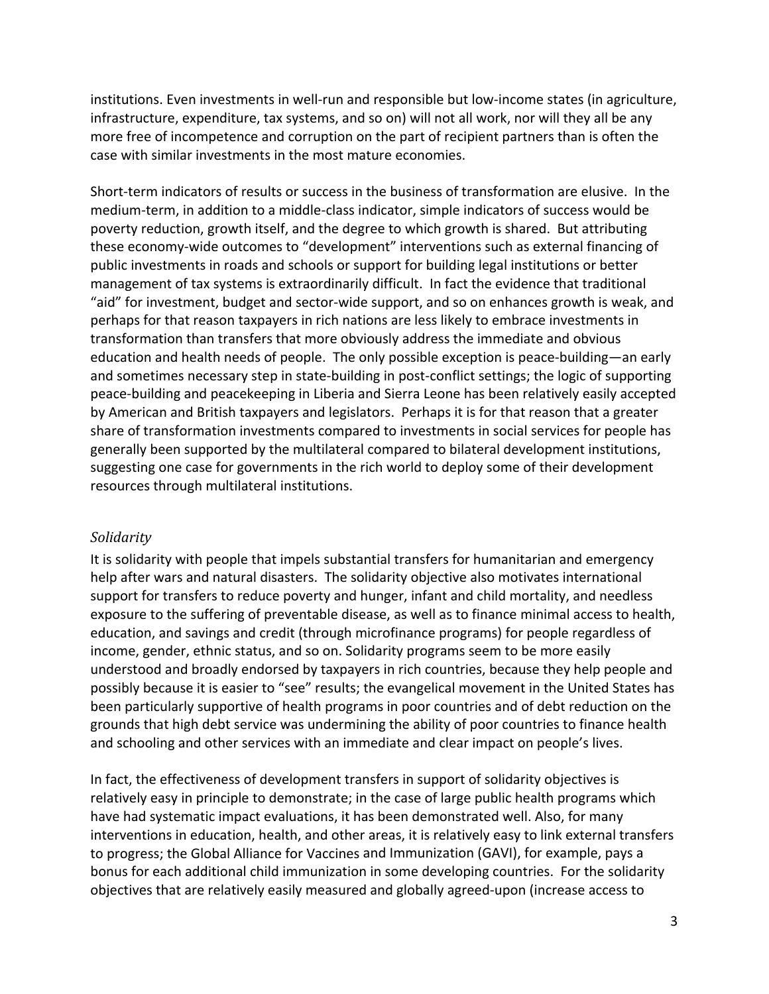institutions. Even investments in well-run and responsible but low-income states (in agriculture, infrastructure, expenditure, tax systems, and so on) will not all work, nor will they all be any more free of incompetence and corruption on the part of recipient partners than is often the case with similar investments in the most mature economies.

Short‐term indicators of results or success in the business of transformation are elusive. In the medium‐term, in addition to a middle‐class indicator, simple indicators of success would be poverty reduction, growth itself, and the degree to which growth is shared. But attributing these economy‐wide outcomes to "development" interventions such as external financing of public investments in roads and schools or support for building legal institutions or better management of tax systems is extraordinarily difficult. In fact the evidence that traditional "aid" for investment, budget and sector‐wide support, and so on enhances growth is weak, and perhaps for that reason taxpayers in rich nations are less likely to embrace investments in transformation than transfers that more obviously address the immediate and obvious education and health needs of people. The only possible exception is peace‐building—an early and sometimes necessary step in state-building in post-conflict settings; the logic of supporting peace‐building and peacekeeping in Liberia and Sierra Leone has been relatively easily accepted by American and British taxpayers and legislators. Perhaps it is for that reason that a greater share of transformation investments compared to investments in social services for people has generally been supported by the multilateral compared to bilateral development institutions, suggesting one case for governments in the rich world to deploy some of their development resources through multilateral institutions.

#### *Solidarity*

It is solidarity with people that impels substantial transfers for humanitarian and emergency help after wars and natural disasters. The solidarity objective also motivates international support for transfers to reduce poverty and hunger, infant and child mortality, and needless exposure to the suffering of preventable disease, as well as to finance minimal access to health, education, and savings and credit (through microfinance programs) for people regardless of income, gender, ethnic status, and so on. Solidarity programs seem to be more easily understood and broadly endorsed by taxpayers in rich countries, because they help people and possibly because it is easier to "see" results; the evangelical movement in the United States has been particularly supportive of health programs in poor countries and of debt reduction on the grounds that high debt service was undermining the ability of poor countries to finance health and schooling and other services with an immediate and clear impact on people's lives.

In fact, the effectiveness of development transfers in support of solidarity objectives is relatively easy in principle to demonstrate; in the case of large public health programs which have had systematic impact evaluations, it has been demonstrated well. Also, for many interventions in education, health, and other areas, it is relatively easy to link external transfers to progress; the Global Alliance for Vaccines and Immunization (GAVI), for example, pays a bonus for each additional child immunization in some developing countries. For the solidarity objectives that are relatively easily measured and globally agreed‐upon (increase access to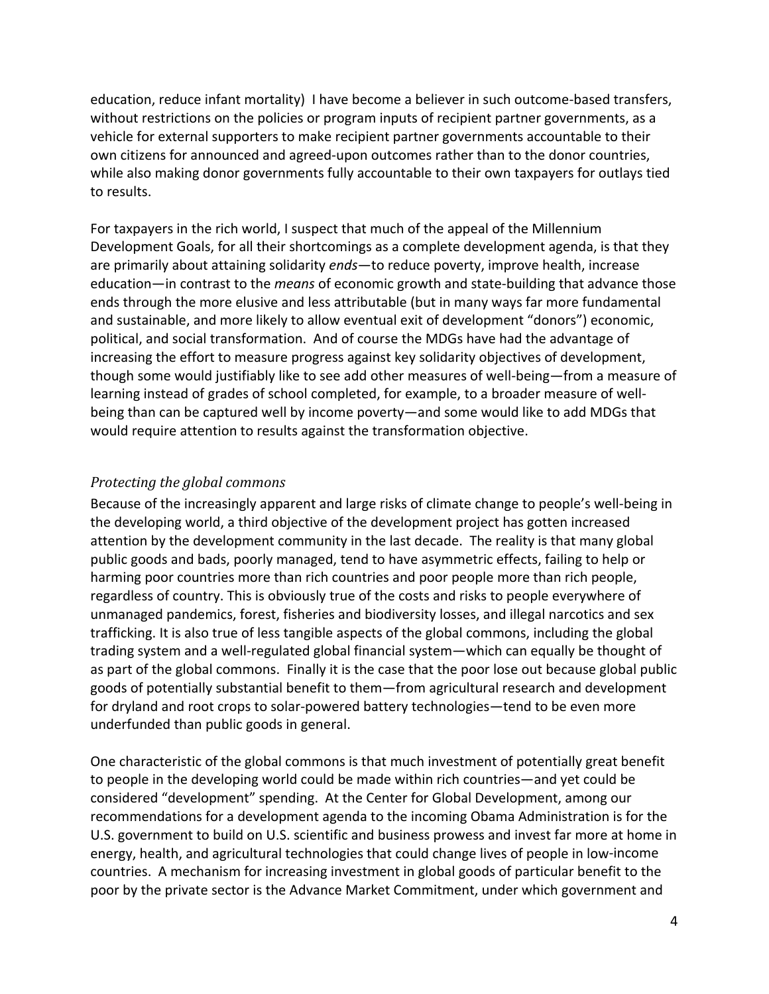education, reduce infant mortality) I have become a believer in such outcome-based transfers, without restrictions on the policies or program inputs of recipient partner governments, as a vehicle for external supporters to make recipient partner governments accountable to their own citizens for announced and agreed‐upon outcomes rather than to the donor countries, while also making donor governments fully accountable to their own taxpayers for outlays tied to results.

For taxpayers in the rich world, I suspect that much of the appeal of the Millennium Development Goals, for all their shortcomings as a complete development agenda, is that they are primarily about attaining solidarity *ends*—to reduce poverty, improve health, increase education—in contrast to the *means* of economic growth and state‐building that advance those ends through the more elusive and less attributable (but in many ways far more fundamental and sustainable, and more likely to allow eventual exit of development "donors") economic, political, and social transformation. And of course the MDGs have had the advantage of increasing the effort to measure progress against key solidarity objectives of development, though some would justifiably like to see add other measures of well‐being—from a measure of learning instead of grades of school completed, for example, to a broader measure of well‐ being than can be captured well by income poverty—and some would like to add MDGs that would require attention to results against the transformation objective.

#### *Protecting the global commons*

Because of the increasingly apparent and large risks of climate change to people's well‐being in the developing world, a third objective of the development project has gotten increased attention by the development community in the last decade. The reality is that many global public goods and bads, poorly managed, tend to have asymmetric effects, failing to help or harming poor countries more than rich countries and poor people more than rich people, regardless of country. This is obviously true of the costs and risks to people everywhere of unmanaged pandemics, forest, fisheries and biodiversity losses, and illegal narcotics and sex trafficking. It is also true of less tangible aspects of the global commons, including the global trading system and a well-regulated global financial system—which can equally be thought of as part of the global commons. Finally it is the case that the poor lose out because global public goods of potentially substantial benefit to them—from agricultural research and development for dryland and root crops to solar‐powered battery technologies—tend to be even more underfunded than public goods in general.

One characteristic of the global commons is that much investment of potentially great benefit to people in the developing world could be made within rich countries—and yet could be considered "development" spending. At the Center for Global Development, among our recommendations for a development agenda to the incoming Obama Administration is for the U.S. government to build on U.S. scientific and business prowess and invest far more at home in energy, health, and agricultural technologies that could change lives of people in low‐income countries. A mechanism for increasing investment in global goods of particular benefit to the poor by the private sector is the Advance Market Commitment, under which government and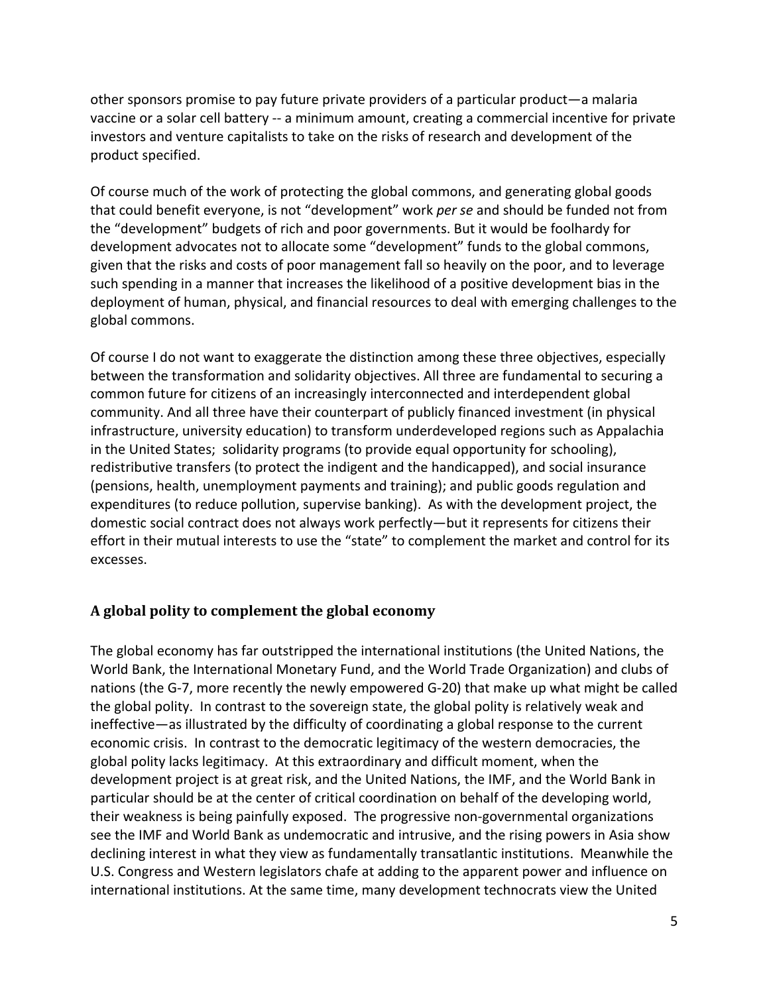other sponsors promise to pay future private providers of a particular product—a malaria vaccine or a solar cell battery ‐‐ a minimum amount, creating a commercial incentive for private investors and venture capitalists to take on the risks of research and development of the product specified.

Of course much of the work of protecting the global commons, and generating global goods that could benefit everyone, is not "development" work *per se* and should be funded not from the "development" budgets of rich and poor governments. But it would be foolhardy for development advocates not to allocate some "development" funds to the global commons, given that the risks and costs of poor management fall so heavily on the poor, and to leverage such spending in a manner that increases the likelihood of a positive development bias in the deployment of human, physical, and financial resources to deal with emerging challenges to the global commons.

Of course I do not want to exaggerate the distinction among these three objectives, especially between the transformation and solidarity objectives. All three are fundamental to securing a common future for citizens of an increasingly interconnected and interdependent global community. And all three have their counterpart of publicly financed investment (in physical infrastructure, university education) to transform underdeveloped regions such as Appalachia in the United States; solidarity programs (to provide equal opportunity for schooling), redistributive transfers (to protect the indigent and the handicapped), and social insurance (pensions, health, unemployment payments and training); and public goods regulation and expenditures (to reduce pollution, supervise banking). As with the development project, the domestic social contract does not always work perfectly—but it represents for citizens their effort in their mutual interests to use the "state" to complement the market and control for its excesses.

## **A global polity to complement the global economy**

The global economy has far outstripped the international institutions (the United Nations, the World Bank, the International Monetary Fund, and the World Trade Organization) and clubs of nations (the G‐7, more recently the newly empowered G‐20) that make up what might be called the global polity. In contrast to the sovereign state, the global polity is relatively weak and ineffective—as illustrated by the difficulty of coordinating a global response to the current economic crisis. In contrast to the democratic legitimacy of the western democracies, the global polity lacks legitimacy. At this extraordinary and difficult moment, when the development project is at great risk, and the United Nations, the IMF, and the World Bank in particular should be at the center of critical coordination on behalf of the developing world, their weakness is being painfully exposed. The progressive non‐governmental organizations see the IMF and World Bank as undemocratic and intrusive, and the rising powers in Asia show declining interest in what they view as fundamentally transatlantic institutions. Meanwhile the U.S. Congress and Western legislators chafe at adding to the apparent power and influence on international institutions. At the same time, many development technocrats view the United